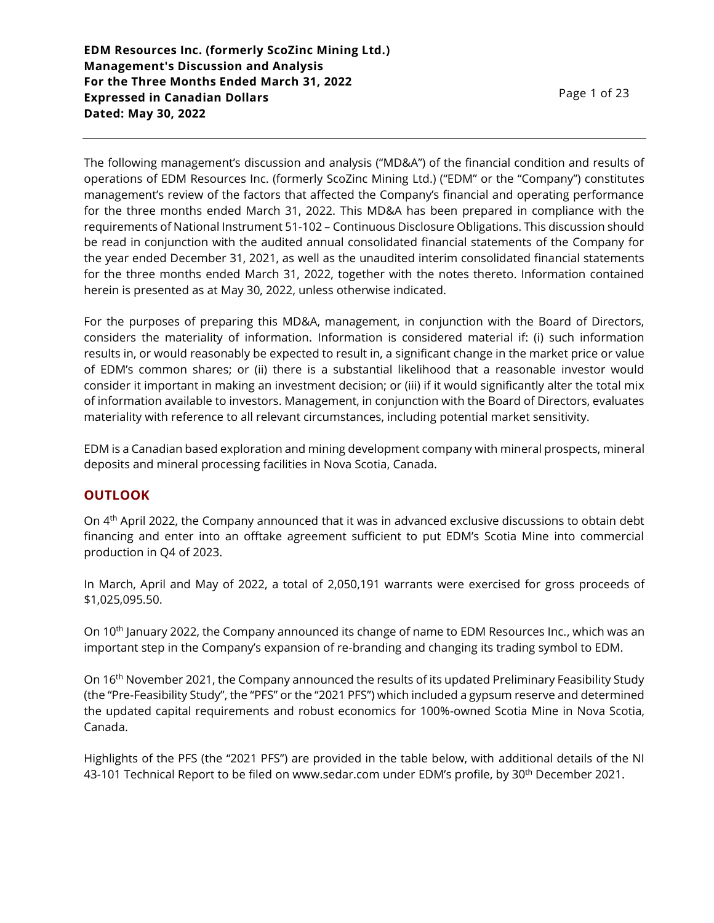The following management's discussion and analysis ("MD&A") of the financial condition and results of operations of EDM Resources Inc. (formerly ScoZinc Mining Ltd.) ("EDM" or the "Company") constitutes management's review of the factors that affected the Company's financial and operating performance for the three months ended March 31, 2022. This MD&A has been prepared in compliance with the requirements of National Instrument 51-102 – Continuous Disclosure Obligations. This discussion should be read in conjunction with the audited annual consolidated financial statements of the Company for the year ended December 31, 2021, as well as the unaudited interim consolidated financial statements for the three months ended March 31, 2022, together with the notes thereto. Information contained herein is presented as at May 30, 2022, unless otherwise indicated.

For the purposes of preparing this MD&A, management, in conjunction with the Board of Directors, considers the materiality of information. Information is considered material if: (i) such information results in, or would reasonably be expected to result in, a significant change in the market price or value of EDM's common shares; or (ii) there is a substantial likelihood that a reasonable investor would consider it important in making an investment decision; or (iii) if it would significantly alter the total mix of information available to investors. Management, in conjunction with the Board of Directors, evaluates materiality with reference to all relevant circumstances, including potential market sensitivity.

EDM is a Canadian based exploration and mining development company with mineral prospects, mineral deposits and mineral processing facilities in Nova Scotia, Canada.

### **OUTLOOK**

On 4th April 2022, the Company announced that it was in advanced exclusive discussions to obtain debt financing and enter into an offtake agreement sufficient to put EDM's Scotia Mine into commercial production in Q4 of 2023.

In March, April and May of 2022, a total of 2,050,191 warrants were exercised for gross proceeds of \$1,025,095.50.

On 10th January 2022, the Company announced its change of name to EDM Resources Inc., which was an important step in the Company's expansion of re-branding and changing its trading symbol to EDM.

On 16th November 2021, the Company announced the results of its updated Preliminary Feasibility Study (the "Pre-Feasibility Study", the "PFS" or the "2021 PFS") which included a gypsum reserve and determined the updated capital requirements and robust economics for 100%-owned Scotia Mine in Nova Scotia, Canada.

Highlights of the PFS (the "2021 PFS") are provided in the table below, with additional details of the NI 43-101 Technical Report to be filed on www.sedar.com under EDM's profile, by 30th December 2021.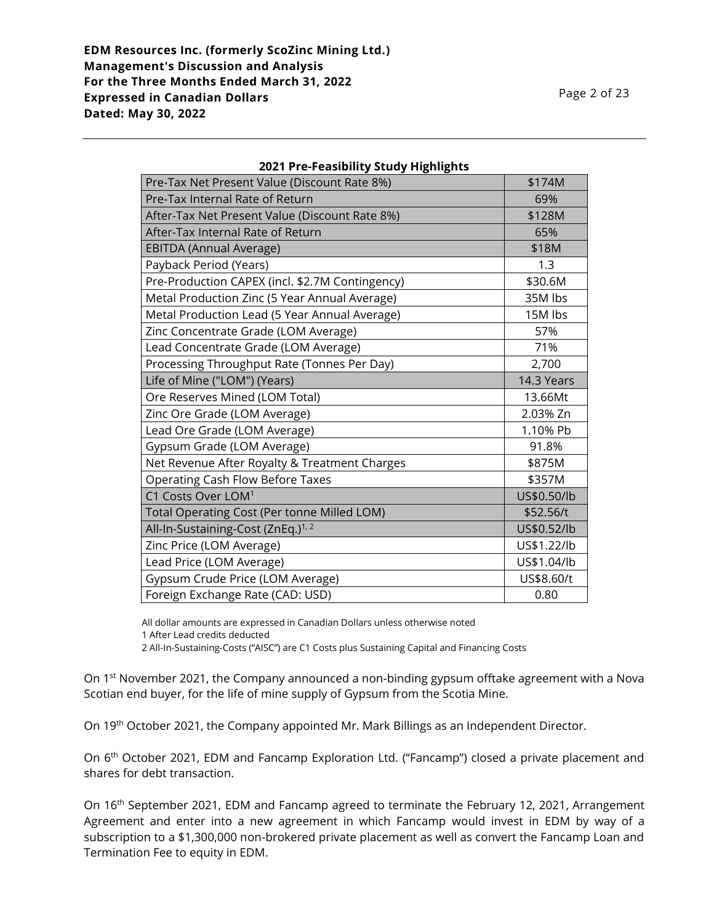| Pre-Tax Net Present Value (Discount Rate 8%)    | \$174M      |
|-------------------------------------------------|-------------|
| Pre-Tax Internal Rate of Return                 | 69%         |
| After-Tax Net Present Value (Discount Rate 8%)  | \$128M      |
| After-Tax Internal Rate of Return               | 65%         |
| <b>EBITDA (Annual Average)</b>                  | \$18M       |
| Payback Period (Years)                          | 1.3         |
| Pre-Production CAPEX (incl. \$2.7M Contingency) | \$30.6M     |
| Metal Production Zinc (5 Year Annual Average)   | 35M lbs     |
| Metal Production Lead (5 Year Annual Average)   | 15M lbs     |
| Zinc Concentrate Grade (LOM Average)            | 57%         |
| Lead Concentrate Grade (LOM Average)            | 71%         |
| Processing Throughput Rate (Tonnes Per Day)     | 2,700       |
| Life of Mine ("LOM") (Years)                    | 14.3 Years  |
| Ore Reserves Mined (LOM Total)                  | 13.66Mt     |
| Zinc Ore Grade (LOM Average)                    | 2.03% Zn    |
| Lead Ore Grade (LOM Average)                    | 1.10% Pb    |
| Gypsum Grade (LOM Average)                      | 91.8%       |
| Net Revenue After Royalty & Treatment Charges   | \$875M      |
| <b>Operating Cash Flow Before Taxes</b>         | \$357M      |
| C1 Costs Over LOM <sup>1</sup>                  | US\$0.50/lb |
| Total Operating Cost (Per tonne Milled LOM)     | \$52.56/t   |
| All-In-Sustaining-Cost (ZnEq.) <sup>1, 2</sup>  | US\$0.52/lb |
| Zinc Price (LOM Average)                        | US\$1.22/lb |
| Lead Price (LOM Average)                        | US\$1.04/lb |
| Gypsum Crude Price (LOM Average)                | US\$8.60/t  |
| Foreign Exchange Rate (CAD: USD)                | 0.80        |

### **2021 Pre-Feasibility Study Highlights**

All dollar amounts are expressed in Canadian Dollars unless otherwise noted

2 All-In-Sustaining-Costs ("AISC") are C1 Costs plus Sustaining Capital and Financing Costs

On 1<sup>st</sup> November 2021, the Company announced a non-binding gypsum offtake agreement with a Nova Scotian end buyer, for the life of mine supply of Gypsum from the Scotia Mine.

On 19th October 2021, the Company appointed Mr. Mark Billings as an Independent Director.

On 6<sup>th</sup> October 2021, EDM and Fancamp Exploration Ltd. ("Fancamp") closed a private placement and shares for debt transaction.

On 16<sup>th</sup> September 2021, EDM and Fancamp agreed to terminate the February 12, 2021, Arrangement Agreement and enter into a new agreement in which Fancamp would invest in EDM by way of a subscription to a \$1,300,000 non-brokered private placement as well as convert the Fancamp Loan and Termination Fee to equity in EDM.

<sup>1</sup> After Lead credits deducted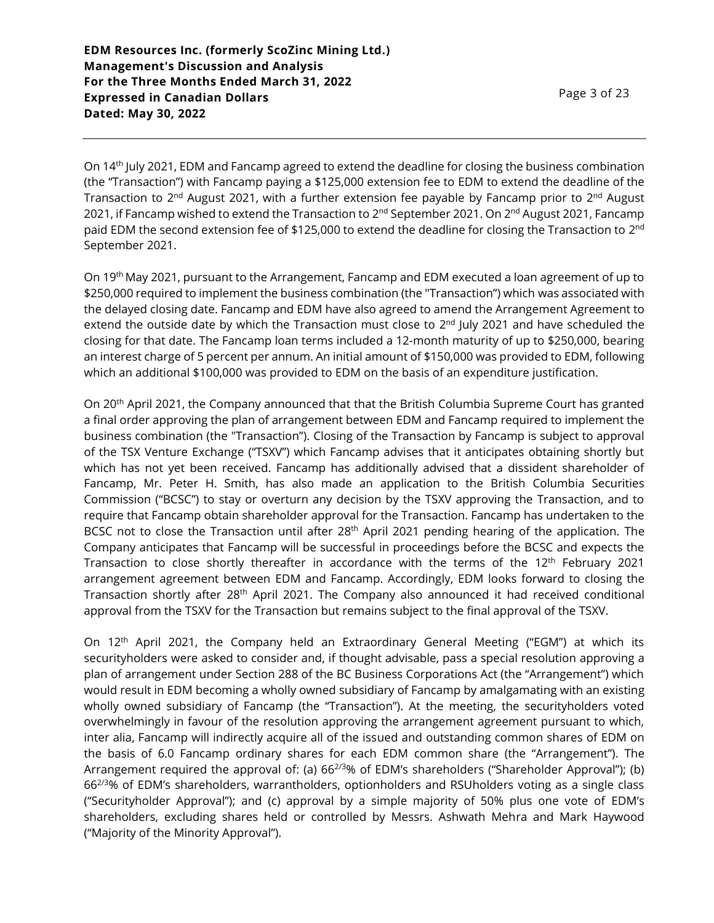On 14th July 2021, EDM and Fancamp agreed to extend the deadline for closing the business combination (the "Transaction") with Fancamp paying a \$125,000 extension fee to EDM to extend the deadline of the Transaction to 2<sup>nd</sup> August 2021, with a further extension fee payable by Fancamp prior to 2<sup>nd</sup> August 2021, if Fancamp wished to extend the Transaction to 2<sup>nd</sup> September 2021. On 2<sup>nd</sup> August 2021, Fancamp paid EDM the second extension fee of \$125,000 to extend the deadline for closing the Transaction to 2 $^{\rm{nd}}$ September 2021.

On 19th May 2021, pursuant to the Arrangement, Fancamp and EDM executed a loan agreement of up to \$250,000 required to implement the business combination (the "Transaction") which was associated with the delayed closing date. Fancamp and EDM have also agreed to amend the Arrangement Agreement to extend the outside date by which the Transaction must close to 2<sup>nd</sup> July 2021 and have scheduled the closing for that date. The Fancamp loan terms included a 12-month maturity of up to \$250,000, bearing an interest charge of 5 percent per annum. An initial amount of \$150,000 was provided to EDM, following which an additional \$100,000 was provided to EDM on the basis of an expenditure justification.

On 20<sup>th</sup> April 2021, the Company announced that that the British Columbia Supreme Court has granted a final order approving the plan of arrangement between EDM and Fancamp required to implement the business combination (the "Transaction"). Closing of the Transaction by Fancamp is subject to approval of the TSX Venture Exchange ("TSXV") which Fancamp advises that it anticipates obtaining shortly but which has not yet been received. Fancamp has additionally advised that a dissident shareholder of Fancamp, Mr. Peter H. Smith, has also made an application to the British Columbia Securities Commission ("BCSC") to stay or overturn any decision by the TSXV approving the Transaction, and to require that Fancamp obtain shareholder approval for the Transaction. Fancamp has undertaken to the BCSC not to close the Transaction until after 28<sup>th</sup> April 2021 pending hearing of the application. The Company anticipates that Fancamp will be successful in proceedings before the BCSC and expects the Transaction to close shortly thereafter in accordance with the terms of the 12<sup>th</sup> February 2021 arrangement agreement between EDM and Fancamp. Accordingly, EDM looks forward to closing the Transaction shortly after 28<sup>th</sup> April 2021. The Company also announced it had received conditional approval from the TSXV for the Transaction but remains subject to the final approval of the TSXV.

On 12th April 2021, the Company held an Extraordinary General Meeting ("EGM") at which its securityholders were asked to consider and, if thought advisable, pass a special resolution approving a plan of arrangement under Section 288 of the BC Business Corporations Act (the "Arrangement") which would result in EDM becoming a wholly owned subsidiary of Fancamp by amalgamating with an existing wholly owned subsidiary of Fancamp (the "Transaction"). At the meeting, the securityholders voted overwhelmingly in favour of the resolution approving the arrangement agreement pursuant to which, inter alia, Fancamp will indirectly acquire all of the issued and outstanding common shares of EDM on the basis of 6.0 Fancamp ordinary shares for each EDM common share (the "Arrangement"). The Arrangement required the approval of: (a) 66<sup>2/3</sup>% of EDM's shareholders ("Shareholder Approval"); (b) 662/3% of EDM's shareholders, warrantholders, optionholders and RSUholders voting as a single class ("Securityholder Approval"); and (c) approval by a simple majority of 50% plus one vote of EDM's shareholders, excluding shares held or controlled by Messrs. Ashwath Mehra and Mark Haywood ("Majority of the Minority Approval").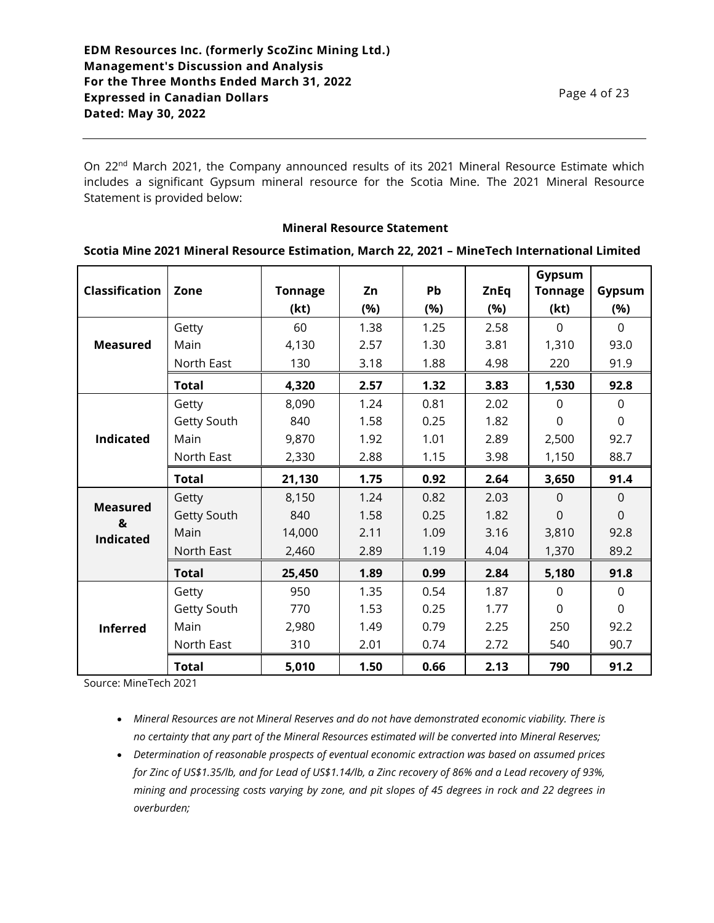On 22<sup>nd</sup> March 2021, the Company announced results of its 2021 Mineral Resource Estimate which includes a significant Gypsum mineral resource for the Scotia Mine. The 2021 Mineral Resource Statement is provided below:

#### **Mineral Resource Statement**

#### **Scotia Mine 2021 Mineral Resource Estimation, March 22, 2021 – MineTech International Limited**

| <b>Classification</b> | Zone         | <b>Tonnage</b> | Zn   | Pb   | <b>ZnEq</b> | Gypsum<br>Tonnage | Gypsum      |
|-----------------------|--------------|----------------|------|------|-------------|-------------------|-------------|
|                       |              | (kt)           | (%)  | (%)  | (%)         | (kt)              | (%)         |
|                       | Getty        | 60             | 1.38 | 1.25 | 2.58        | $\Omega$          | $\Omega$    |
| <b>Measured</b>       | Main         | 4,130          | 2.57 | 1.30 | 3.81        | 1,310             | 93.0        |
|                       | North East   | 130            | 3.18 | 1.88 | 4.98        | 220               | 91.9        |
|                       | <b>Total</b> | 4,320          | 2.57 | 1.32 | 3.83        | 1,530             | 92.8        |
|                       | Getty        | 8,090          | 1.24 | 0.81 | 2.02        | $\Omega$          | $\Omega$    |
|                       | Getty South  | 840            | 1.58 | 0.25 | 1.82        | 0                 | $\mathbf 0$ |
| <b>Indicated</b>      | Main         | 9,870          | 1.92 | 1.01 | 2.89        | 2,500             | 92.7        |
|                       | North East   | 2,330          | 2.88 | 1.15 | 3.98        | 1,150             | 88.7        |
|                       | <b>Total</b> | 21,130         | 1.75 | 0.92 | 2.64        | 3,650             | 91.4        |
| <b>Measured</b><br>&  | Getty        | 8,150          | 1.24 | 0.82 | 2.03        | $\Omega$          | $\mathbf 0$ |
|                       | Getty South  | 840            | 1.58 | 0.25 | 1.82        | $\Omega$          | $\Omega$    |
| <b>Indicated</b>      | Main         | 14,000         | 2.11 | 1.09 | 3.16        | 3,810             | 92.8        |
|                       | North East   | 2,460          | 2.89 | 1.19 | 4.04        | 1,370             | 89.2        |
|                       | <b>Total</b> | 25,450         | 1.89 | 0.99 | 2.84        | 5,180             | 91.8        |
|                       | Getty        | 950            | 1.35 | 0.54 | 1.87        | $\Omega$          | $\mathbf 0$ |
| <b>Inferred</b>       | Getty South  | 770            | 1.53 | 0.25 | 1.77        | $\Omega$          | $\mathbf 0$ |
|                       | Main         | 2,980          | 1.49 | 0.79 | 2.25        | 250               | 92.2        |
|                       | North East   | 310            | 2.01 | 0.74 | 2.72        | 540               | 90.7        |
|                       | <b>Total</b> | 5,010          | 1.50 | 0.66 | 2.13        | 790               | 91.2        |

Source: MineTech 2021

• *Mineral Resources are not Mineral Reserves and do not have demonstrated economic viability. There is no certainty that any part of the Mineral Resources estimated will be converted into Mineral Reserves;*

• *Determination of reasonable prospects of eventual economic extraction was based on assumed prices for Zinc of US\$1.35/lb, and for Lead of US\$1.14/lb, a Zinc recovery of 86% and a Lead recovery of 93%, mining and processing costs varying by zone, and pit slopes of 45 degrees in rock and 22 degrees in overburden;*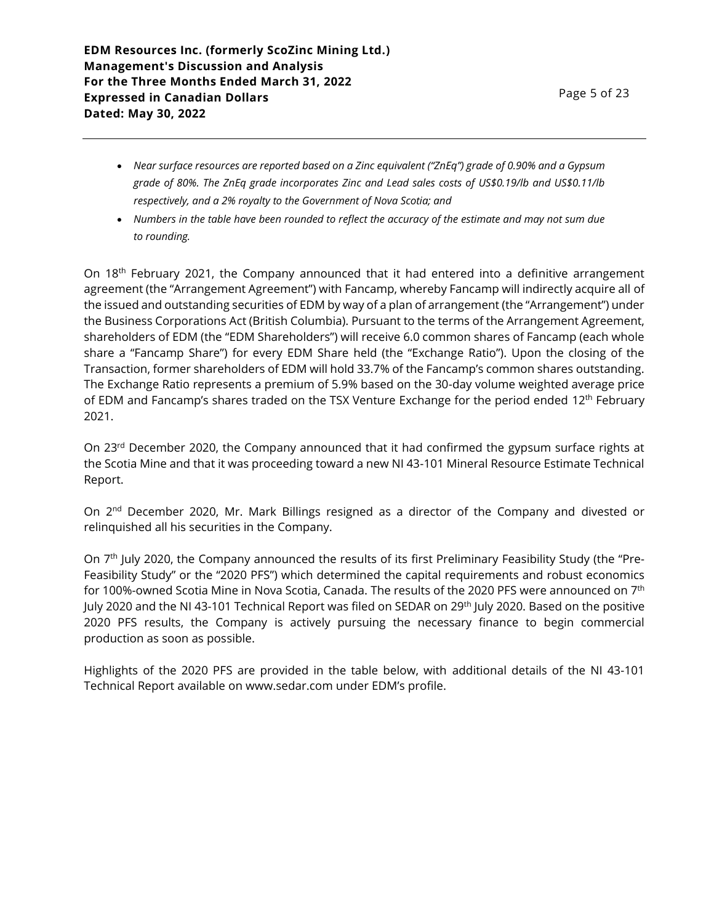- *Near surface resources are reported based on a Zinc equivalent ("ZnEq") grade of 0.90% and a Gypsum grade of 80%. The ZnEq grade incorporates Zinc and Lead sales costs of US\$0.19/lb and US\$0.11/lb respectively, and a 2% royalty to the Government of Nova Scotia; and*
- *Numbers in the table have been rounded to reflect the accuracy of the estimate and may not sum due to rounding.*

On 18<sup>th</sup> February 2021, the Company announced that it had entered into a definitive arrangement agreement (the "Arrangement Agreement") with Fancamp, whereby Fancamp will indirectly acquire all of the issued and outstanding securities of EDM by way of a plan of arrangement (the "Arrangement") under the Business Corporations Act (British Columbia). Pursuant to the terms of the Arrangement Agreement, shareholders of EDM (the "EDM Shareholders") will receive 6.0 common shares of Fancamp (each whole share a "Fancamp Share") for every EDM Share held (the "Exchange Ratio"). Upon the closing of the Transaction, former shareholders of EDM will hold 33.7% of the Fancamp's common shares outstanding. The Exchange Ratio represents a premium of 5.9% based on the 30-day volume weighted average price of EDM and Fancamp's shares traded on the TSX Venture Exchange for the period ended  $12<sup>th</sup>$  February 2021.

On 23<sup>rd</sup> December 2020, the Company announced that it had confirmed the gypsum surface rights at the Scotia Mine and that it was proceeding toward a new NI 43-101 Mineral Resource Estimate Technical Report.

On 2<sup>nd</sup> December 2020, Mr. Mark Billings resigned as a director of the Company and divested or relinquished all his securities in the Company.

On 7<sup>th</sup> July 2020, the Company announced the results of its first Preliminary Feasibility Study (the "Pre-Feasibility Study" or the "2020 PFS") which determined the capital requirements and robust economics for 100%-owned Scotia Mine in Nova Scotia, Canada. The results of the 2020 PFS were announced on 7th July 2020 and the NI 43-101 Technical Report was filed on SEDAR on 29<sup>th</sup> July 2020. Based on the positive 2020 PFS results, the Company is actively pursuing the necessary finance to begin commercial production as soon as possible.

Highlights of the 2020 PFS are provided in the table below, with additional details of the NI 43-101 Technical Report available on www.sedar.com under EDM's profile.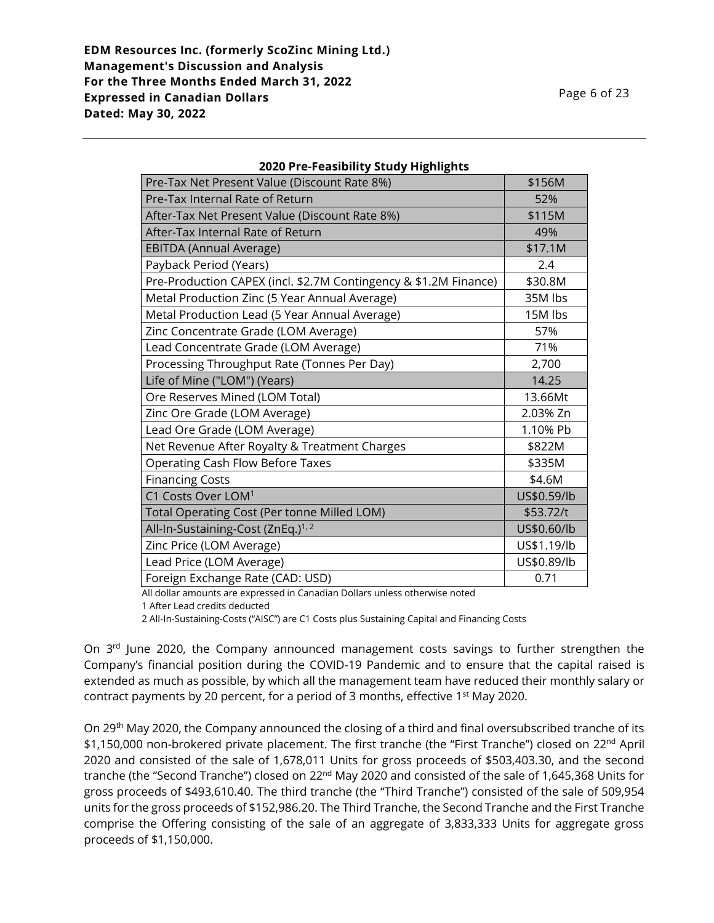| Pre-Tax Net Present Value (Discount Rate 8%)                     | \$156M      |
|------------------------------------------------------------------|-------------|
| Pre-Tax Internal Rate of Return                                  | 52%         |
| After-Tax Net Present Value (Discount Rate 8%)                   | \$115M      |
| After-Tax Internal Rate of Return                                | 49%         |
| <b>EBITDA (Annual Average)</b>                                   | \$17.1M     |
| Payback Period (Years)                                           | 2.4         |
| Pre-Production CAPEX (incl. \$2.7M Contingency & \$1.2M Finance) | \$30.8M     |
| Metal Production Zinc (5 Year Annual Average)                    | 35M lbs     |
| Metal Production Lead (5 Year Annual Average)                    | 15M lbs     |
| Zinc Concentrate Grade (LOM Average)                             | 57%         |
| Lead Concentrate Grade (LOM Average)                             | 71%         |
| Processing Throughput Rate (Tonnes Per Day)                      | 2,700       |
| Life of Mine ("LOM") (Years)                                     | 14.25       |
| Ore Reserves Mined (LOM Total)                                   | 13.66Mt     |
| Zinc Ore Grade (LOM Average)                                     | 2.03% Zn    |
| Lead Ore Grade (LOM Average)                                     | 1.10% Pb    |
| Net Revenue After Royalty & Treatment Charges                    | \$822M      |
| Operating Cash Flow Before Taxes                                 | \$335M      |
| <b>Financing Costs</b>                                           | \$4.6M      |
| C1 Costs Over LOM <sup>1</sup>                                   | US\$0.59/lb |
| Total Operating Cost (Per tonne Milled LOM)                      | \$53.72/t   |
| All-In-Sustaining-Cost (ZnEq.) <sup>1, 2</sup>                   | US\$0.60/lb |
| Zinc Price (LOM Average)                                         | US\$1.19/lb |
| Lead Price (LOM Average)                                         | US\$0.89/lb |
| Foreign Exchange Rate (CAD: USD)                                 | 0.71        |

### **2020 Pre-Feasibility Study Highlights**

All dollar amounts are expressed in Canadian Dollars unless otherwise noted

1 After Lead credits deducted

2 All-In-Sustaining-Costs ("AISC") are C1 Costs plus Sustaining Capital and Financing Costs

On 3<sup>rd</sup> June 2020, the Company announced management costs savings to further strengthen the Company's financial position during the COVID-19 Pandemic and to ensure that the capital raised is extended as much as possible, by which all the management team have reduced their monthly salary or contract payments by 20 percent, for a period of 3 months, effective 1st May 2020.

On 29th May 2020, the Company announced the closing of a third and final oversubscribed tranche of its \$1,150,000 non-brokered private placement. The first tranche (the "First Tranche") closed on 22<sup>nd</sup> April 2020 and consisted of the sale of 1,678,011 Units for gross proceeds of \$503,403.30, and the second tranche (the "Second Tranche") closed on 22<sup>nd</sup> May 2020 and consisted of the sale of 1,645,368 Units for gross proceeds of \$493,610.40. The third tranche (the "Third Tranche") consisted of the sale of 509,954 units for the gross proceeds of \$152,986.20. The Third Tranche, the Second Tranche and the First Tranche comprise the Offering consisting of the sale of an aggregate of 3,833,333 Units for aggregate gross proceeds of \$1,150,000.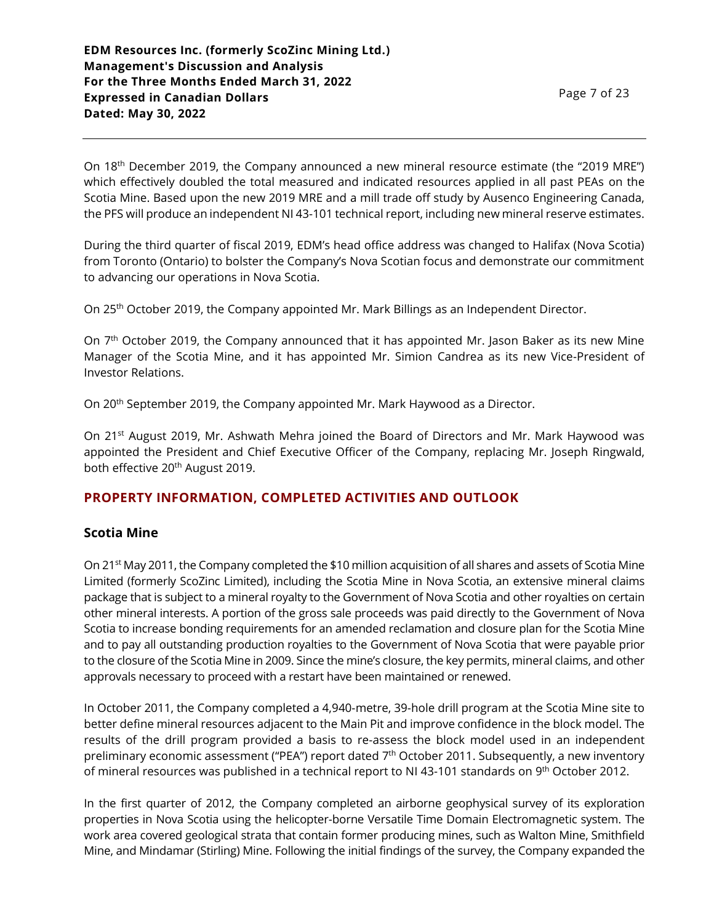On 18<sup>th</sup> December 2019, the Company announced a new mineral resource estimate (the "2019 MRE") which effectively doubled the total measured and indicated resources applied in all past PEAs on the Scotia Mine. Based upon the new 2019 MRE and a mill trade off study by Ausenco Engineering Canada, the PFS will produce an independent NI 43-101 technical report, including new mineral reserve estimates.

During the third quarter of fiscal 2019, EDM's head office address was changed to Halifax (Nova Scotia) from Toronto (Ontario) to bolster the Company's Nova Scotian focus and demonstrate our commitment to advancing our operations in Nova Scotia.

On 25th October 2019, the Company appointed Mr. Mark Billings as an Independent Director.

On 7<sup>th</sup> October 2019, the Company announced that it has appointed Mr. Jason Baker as its new Mine Manager of the Scotia Mine, and it has appointed Mr. Simion Candrea as its new Vice-President of Investor Relations.

On 20th September 2019, the Company appointed Mr. Mark Haywood as a Director.

On 21<sup>st</sup> August 2019, Mr. Ashwath Mehra joined the Board of Directors and Mr. Mark Haywood was appointed the President and Chief Executive Officer of the Company, replacing Mr. Joseph Ringwald, both effective 20<sup>th</sup> August 2019.

## **PROPERTY INFORMATION, COMPLETED ACTIVITIES AND OUTLOOK**

### **Scotia Mine**

On 21st May 2011, the Company completed the \$10 million acquisition of all shares and assets of Scotia Mine Limited (formerly ScoZinc Limited), including the Scotia Mine in Nova Scotia, an extensive mineral claims package that is subject to a mineral royalty to the Government of Nova Scotia and other royalties on certain other mineral interests. A portion of the gross sale proceeds was paid directly to the Government of Nova Scotia to increase bonding requirements for an amended reclamation and closure plan for the Scotia Mine and to pay all outstanding production royalties to the Government of Nova Scotia that were payable prior to the closure of the Scotia Mine in 2009. Since the mine's closure, the key permits, mineral claims, and other approvals necessary to proceed with a restart have been maintained or renewed.

In October 2011, the Company completed a 4,940-metre, 39-hole drill program at the Scotia Mine site to better define mineral resources adjacent to the Main Pit and improve confidence in the block model. The results of the drill program provided a basis to re-assess the block model used in an independent preliminary economic assessment ("PEA") report dated 7<sup>th</sup> October 2011. Subsequently, a new inventory of mineral resources was published in a technical report to NI 43-101 standards on 9<sup>th</sup> October 2012.

In the first quarter of 2012, the Company completed an airborne geophysical survey of its exploration properties in Nova Scotia using the helicopter-borne Versatile Time Domain Electromagnetic system. The work area covered geological strata that contain former producing mines, such as Walton Mine, Smithfield Mine, and Mindamar (Stirling) Mine. Following the initial findings of the survey, the Company expanded the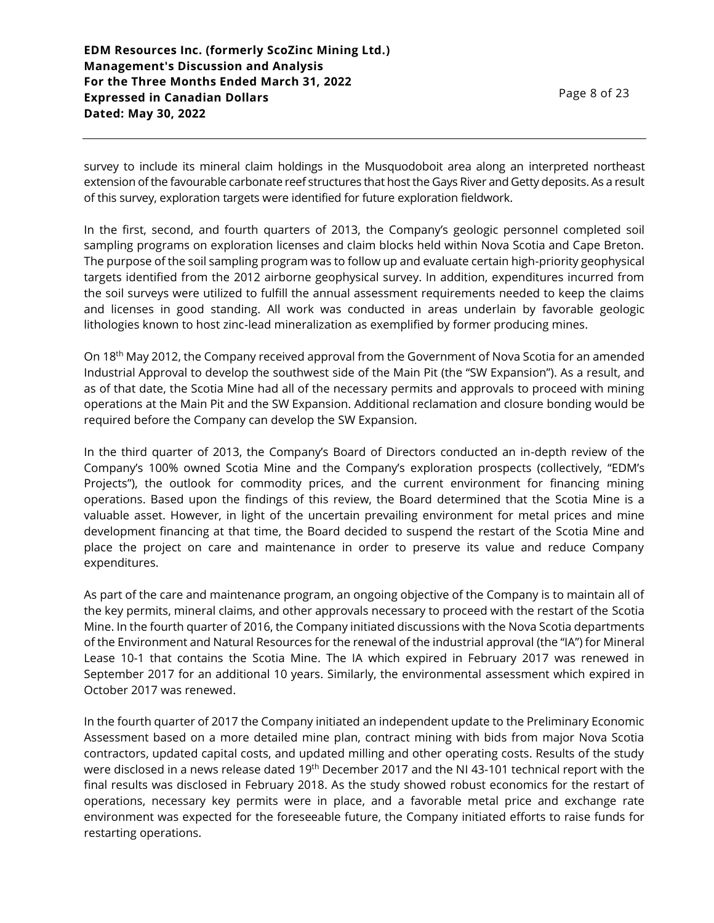survey to include its mineral claim holdings in the Musquodoboit area along an interpreted northeast extension of the favourable carbonate reef structures that host the Gays River and Getty deposits. As a result of this survey, exploration targets were identified for future exploration fieldwork.

In the first, second, and fourth quarters of 2013, the Company's geologic personnel completed soil sampling programs on exploration licenses and claim blocks held within Nova Scotia and Cape Breton. The purpose of the soil sampling program was to follow up and evaluate certain high-priority geophysical targets identified from the 2012 airborne geophysical survey. In addition, expenditures incurred from the soil surveys were utilized to fulfill the annual assessment requirements needed to keep the claims and licenses in good standing. All work was conducted in areas underlain by favorable geologic lithologies known to host zinc-lead mineralization as exemplified by former producing mines.

On 18th May 2012, the Company received approval from the Government of Nova Scotia for an amended Industrial Approval to develop the southwest side of the Main Pit (the "SW Expansion"). As a result, and as of that date, the Scotia Mine had all of the necessary permits and approvals to proceed with mining operations at the Main Pit and the SW Expansion. Additional reclamation and closure bonding would be required before the Company can develop the SW Expansion.

In the third quarter of 2013, the Company's Board of Directors conducted an in-depth review of the Company's 100% owned Scotia Mine and the Company's exploration prospects (collectively, "EDM's Projects"), the outlook for commodity prices, and the current environment for financing mining operations. Based upon the findings of this review, the Board determined that the Scotia Mine is a valuable asset. However, in light of the uncertain prevailing environment for metal prices and mine development financing at that time, the Board decided to suspend the restart of the Scotia Mine and place the project on care and maintenance in order to preserve its value and reduce Company expenditures.

As part of the care and maintenance program, an ongoing objective of the Company is to maintain all of the key permits, mineral claims, and other approvals necessary to proceed with the restart of the Scotia Mine. In the fourth quarter of 2016, the Company initiated discussions with the Nova Scotia departments of the Environment and Natural Resources for the renewal of the industrial approval (the "IA") for Mineral Lease 10-1 that contains the Scotia Mine. The IA which expired in February 2017 was renewed in September 2017 for an additional 10 years. Similarly, the environmental assessment which expired in October 2017 was renewed.

In the fourth quarter of 2017 the Company initiated an independent update to the Preliminary Economic Assessment based on a more detailed mine plan, contract mining with bids from major Nova Scotia contractors, updated capital costs, and updated milling and other operating costs. Results of the study were disclosed in a news release dated 19th December 2017 and the NI 43-101 technical report with the final results was disclosed in February 2018. As the study showed robust economics for the restart of operations, necessary key permits were in place, and a favorable metal price and exchange rate environment was expected for the foreseeable future, the Company initiated efforts to raise funds for restarting operations.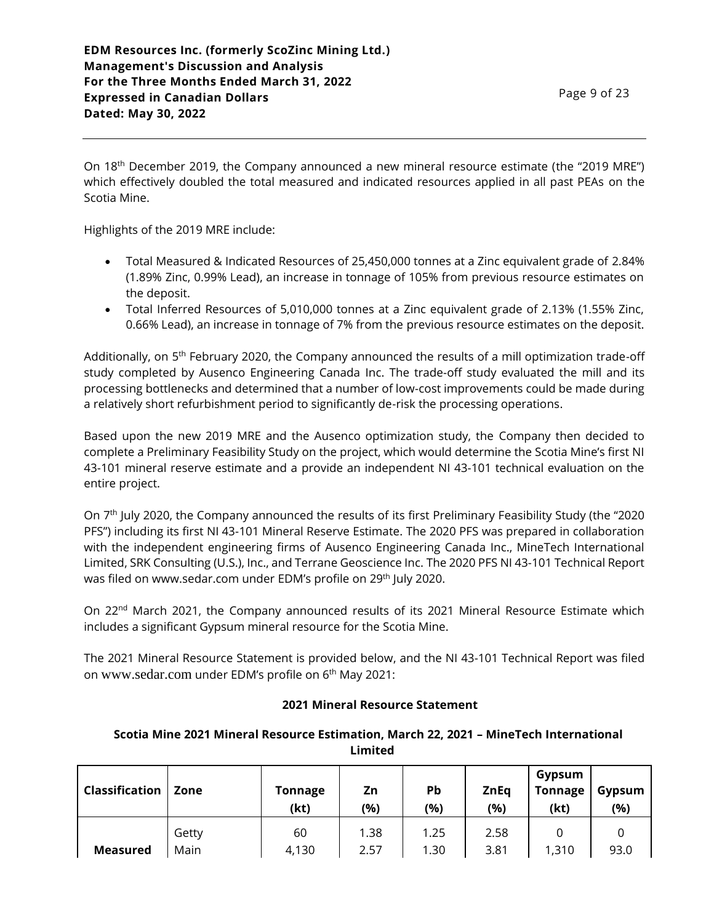On 18<sup>th</sup> December 2019, the Company announced a new mineral resource estimate (the "2019 MRE") which effectively doubled the total measured and indicated resources applied in all past PEAs on the Scotia Mine.

Highlights of the 2019 MRE include:

- Total Measured & Indicated Resources of 25,450,000 tonnes at a Zinc equivalent grade of 2.84% (1.89% Zinc, 0.99% Lead), an increase in tonnage of 105% from previous resource estimates on the deposit.
- Total Inferred Resources of 5,010,000 tonnes at a Zinc equivalent grade of 2.13% (1.55% Zinc, 0.66% Lead), an increase in tonnage of 7% from the previous resource estimates on the deposit.

Additionally, on 5<sup>th</sup> February 2020, the Company announced the results of a mill optimization trade-off study completed by Ausenco Engineering Canada Inc. The trade-off study evaluated the mill and its processing bottlenecks and determined that a number of low-cost improvements could be made during a relatively short refurbishment period to significantly de-risk the processing operations.

Based upon the new 2019 MRE and the Ausenco optimization study, the Company then decided to complete a Preliminary Feasibility Study on the project, which would determine the Scotia Mine's first NI 43-101 mineral reserve estimate and a provide an independent NI 43-101 technical evaluation on the entire project.

On 7 th July 2020, the Company announced the results of its first Preliminary Feasibility Study (the "2020 PFS") including its first NI 43-101 Mineral Reserve Estimate. The 2020 PFS was prepared in collaboration with the independent engineering firms of Ausenco Engineering Canada Inc., MineTech International Limited, SRK Consulting (U.S.), Inc., and Terrane Geoscience Inc. The 2020 PFS NI 43-101 Technical Report was filed on www.sedar.com under EDM's profile on 29<sup>th</sup> July 2020.

On 22<sup>nd</sup> March 2021, the Company announced results of its 2021 Mineral Resource Estimate which includes a significant Gypsum mineral resource for the Scotia Mine.

The 2021 Mineral Resource Statement is provided below, and the NI 43-101 Technical Report was filed on www.sedar.com under EDM's profile on 6<sup>th</sup> May 2021:

### **2021 Mineral Resource Statement**

## **Scotia Mine 2021 Mineral Resource Estimation, March 22, 2021 – MineTech International Limited**

| Classification  | Zone          | <b>Tonnage</b><br>(kt) | Zn<br>(%)    | Pb<br>(%)    | <b>ZnEq</b><br>(%) | Gypsum<br><b>Tonnage</b><br>(kt) | Gypsum<br>(%) |
|-----------------|---------------|------------------------|--------------|--------------|--------------------|----------------------------------|---------------|
| <b>Measured</b> | Getty<br>Main | 60<br>4,130            | 1.38<br>2.57 | 1.25<br>1.30 | 2.58<br>3.81       | 1,310                            | 93.0          |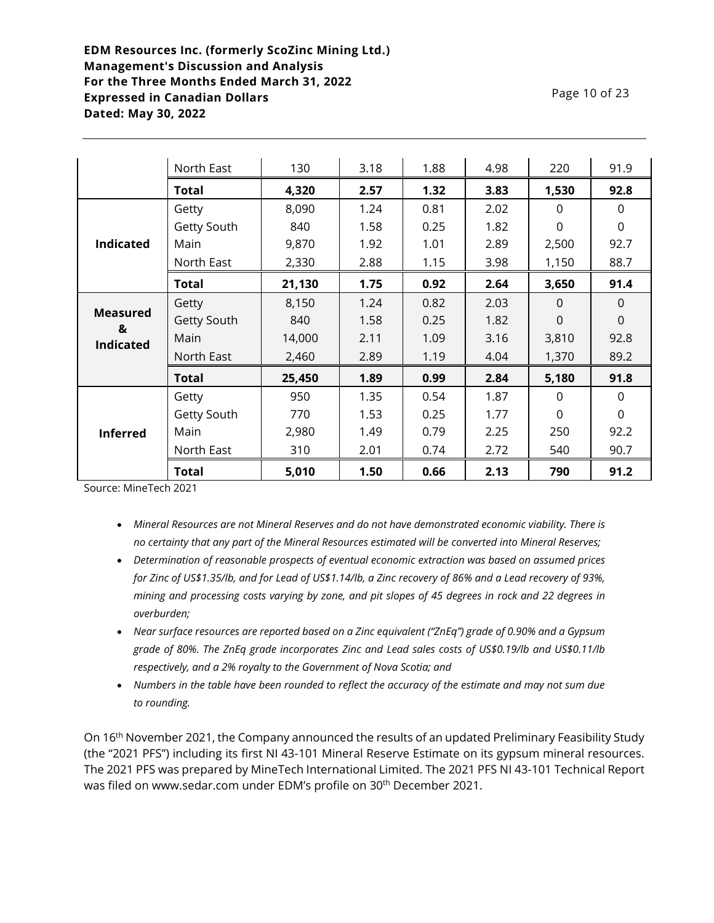| Page 10 of 23 |
|---------------|
|---------------|

|                      | North East   | 130    | 3.18 | 1.88 | 4.98 | 220      | 91.9     |
|----------------------|--------------|--------|------|------|------|----------|----------|
|                      | <b>Total</b> | 4,320  | 2.57 | 1.32 | 3.83 | 1,530    | 92.8     |
|                      | Getty        | 8,090  | 1.24 | 0.81 | 2.02 | $\Omega$ | $\Omega$ |
|                      | Getty South  | 840    | 1.58 | 0.25 | 1.82 | $\Omega$ | $\Omega$ |
| <b>Indicated</b>     | Main         | 9,870  | 1.92 | 1.01 | 2.89 | 2,500    | 92.7     |
|                      | North East   | 2,330  | 2.88 | 1.15 | 3.98 | 1,150    | 88.7     |
|                      | Total        | 21,130 | 1.75 | 0.92 | 2.64 | 3,650    | 91.4     |
|                      | Getty        | 8,150  | 1.24 | 0.82 | 2.03 | $\Omega$ | $\Omega$ |
| <b>Measured</b><br>& | Getty South  | 840    | 1.58 | 0.25 | 1.82 | $\Omega$ | $\Omega$ |
| <b>Indicated</b>     | Main         | 14,000 | 2.11 | 1.09 | 3.16 | 3,810    | 92.8     |
|                      | North East   | 2,460  | 2.89 | 1.19 | 4.04 | 1,370    | 89.2     |
|                      | Total        | 25,450 | 1.89 | 0.99 | 2.84 | 5,180    | 91.8     |
|                      | Getty        | 950    | 1.35 | 0.54 | 1.87 | $\Omega$ | $\Omega$ |
| <b>Inferred</b>      | Getty South  | 770    | 1.53 | 0.25 | 1.77 | $\Omega$ | $\Omega$ |
|                      | Main         | 2,980  | 1.49 | 0.79 | 2.25 | 250      | 92.2     |
|                      | North East   | 310    | 2.01 | 0.74 | 2.72 | 540      | 90.7     |
|                      | Total        | 5,010  | 1.50 | 0.66 | 2.13 | 790      | 91.2     |

Source: MineTech 2021

- *Mineral Resources are not Mineral Reserves and do not have demonstrated economic viability. There is no certainty that any part of the Mineral Resources estimated will be converted into Mineral Reserves;*
- *Determination of reasonable prospects of eventual economic extraction was based on assumed prices for Zinc of US\$1.35/lb, and for Lead of US\$1.14/lb, a Zinc recovery of 86% and a Lead recovery of 93%, mining and processing costs varying by zone, and pit slopes of 45 degrees in rock and 22 degrees in overburden;*
- *Near surface resources are reported based on a Zinc equivalent ("ZnEq") grade of 0.90% and a Gypsum grade of 80%. The ZnEq grade incorporates Zinc and Lead sales costs of US\$0.19/lb and US\$0.11/lb respectively, and a 2% royalty to the Government of Nova Scotia; and*
- *Numbers in the table have been rounded to reflect the accuracy of the estimate and may not sum due to rounding.*

On 16th November 2021, the Company announced the results of an updated Preliminary Feasibility Study (the "2021 PFS") including its first NI 43-101 Mineral Reserve Estimate on its gypsum mineral resources. The 2021 PFS was prepared by MineTech International Limited. The 2021 PFS NI 43-101 Technical Report was filed on www.sedar.com under EDM's profile on 30<sup>th</sup> December 2021.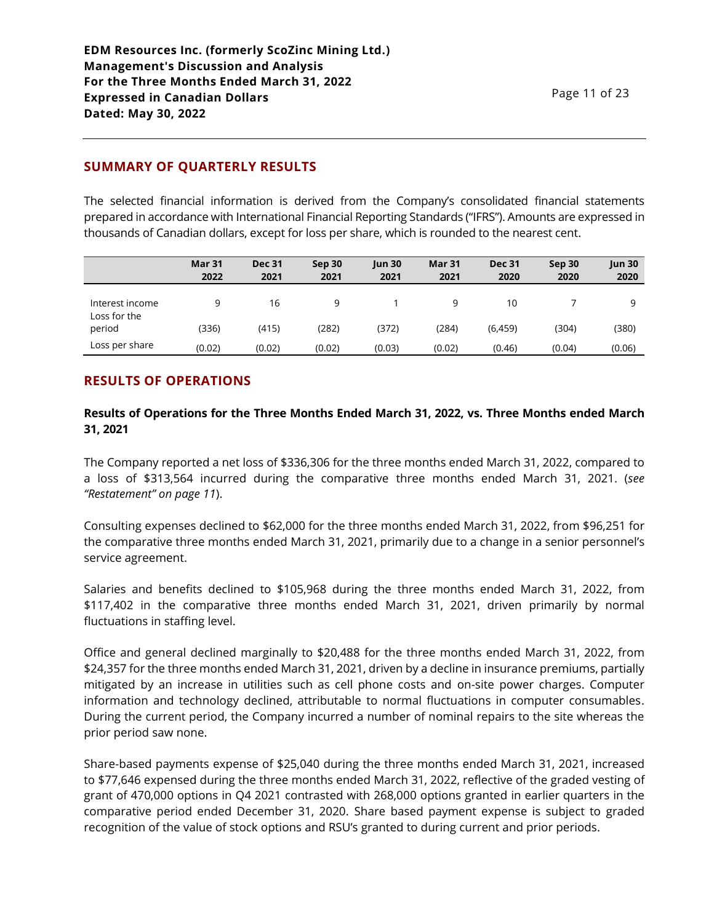# **SUMMARY OF QUARTERLY RESULTS**

The selected financial information is derived from the Company's consolidated financial statements prepared in accordance with International Financial Reporting Standards ("IFRS"). Amounts are expressed in thousands of Canadian dollars, except for loss per share, which is rounded to the nearest cent.

|                                 | <b>Mar 31</b><br>2022 | <b>Dec 31</b><br>2021 | Sep 30<br>2021 | <b>Jun 30</b><br>2021 | Mar 31<br>2021 | <b>Dec 31</b><br>2020 | Sep 30<br>2020 | <b>Jun 30</b><br>2020 |
|---------------------------------|-----------------------|-----------------------|----------------|-----------------------|----------------|-----------------------|----------------|-----------------------|
| Interest income<br>Loss for the | a                     | 16                    | 9              |                       | 9              | 10                    |                | a                     |
| period                          | (336)                 | (415)                 | (282)          | (372)                 | (284)          | (6, 459)              | (304)          | (380)                 |
| Loss per share                  | (0.02)                | (0.02)                | (0.02)         | (0.03)                | (0.02)         | (0.46)                | (0.04)         | (0.06)                |

# **RESULTS OF OPERATIONS**

## **Results of Operations for the Three Months Ended March 31, 2022, vs. Three Months ended March 31, 2021**

The Company reported a net loss of \$336,306 for the three months ended March 31, 2022, compared to a loss of \$313,564 incurred during the comparative three months ended March 31, 2021. (*see "Restatement" on page 11*).

Consulting expenses declined to \$62,000 for the three months ended March 31, 2022, from \$96,251 for the comparative three months ended March 31, 2021, primarily due to a change in a senior personnel's service agreement.

Salaries and benefits declined to \$105,968 during the three months ended March 31, 2022, from \$117,402 in the comparative three months ended March 31, 2021, driven primarily by normal fluctuations in staffing level.

Office and general declined marginally to \$20,488 for the three months ended March 31, 2022, from \$24,357 for the three months ended March 31, 2021, driven by a decline in insurance premiums, partially mitigated by an increase in utilities such as cell phone costs and on-site power charges. Computer information and technology declined, attributable to normal fluctuations in computer consumables. During the current period, the Company incurred a number of nominal repairs to the site whereas the prior period saw none.

Share-based payments expense of \$25,040 during the three months ended March 31, 2021, increased to \$77,646 expensed during the three months ended March 31, 2022, reflective of the graded vesting of grant of 470,000 options in Q4 2021 contrasted with 268,000 options granted in earlier quarters in the comparative period ended December 31, 2020. Share based payment expense is subject to graded recognition of the value of stock options and RSU's granted to during current and prior periods.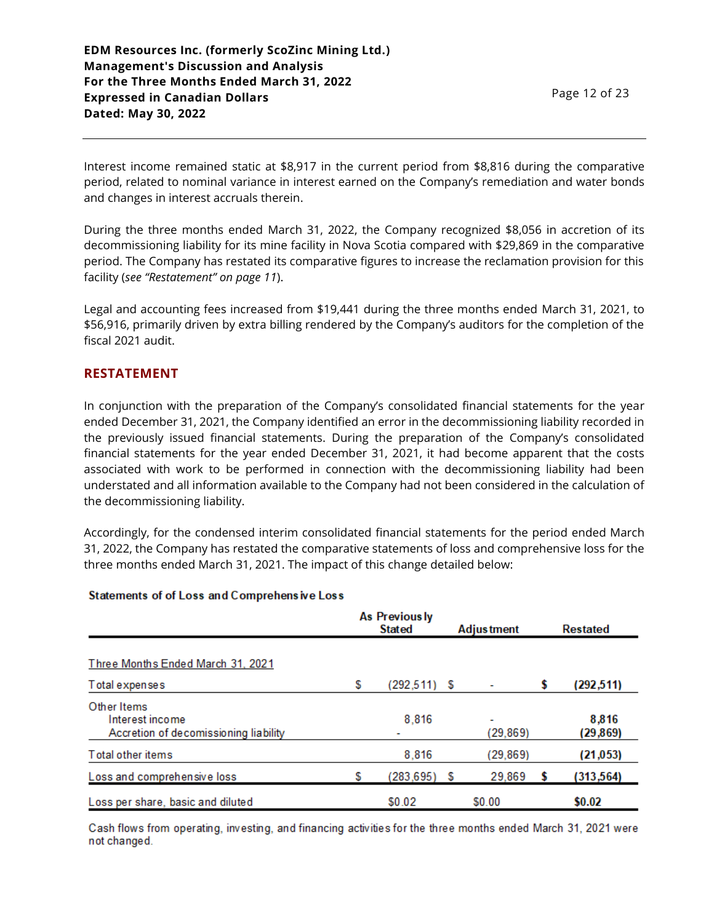Interest income remained static at \$8,917 in the current period from \$8,816 during the comparative period, related to nominal variance in interest earned on the Company's remediation and water bonds and changes in interest accruals therein.

During the three months ended March 31, 2022, the Company recognized \$8,056 in accretion of its decommissioning liability for its mine facility in Nova Scotia compared with \$29,869 in the comparative period. The Company has restated its comparative figures to increase the reclamation provision for this facility (*see "Restatement" on page 11*).

Legal and accounting fees increased from \$19,441 during the three months ended March 31, 2021, to \$56,916, primarily driven by extra billing rendered by the Company's auditors for the completion of the fiscal 2021 audit.

## **RESTATEMENT**

In conjunction with the preparation of the Company's consolidated financial statements for the year ended December 31, 2021, the Company identified an error in the decommissioning liability recorded in the previously issued financial statements. During the preparation of the Company's consolidated financial statements for the year ended December 31, 2021, it had become apparent that the costs associated with work to be performed in connection with the decommissioning liability had been understated and all information available to the Company had not been considered in the calculation of the decommissioning liability.

Accordingly, for the condensed interim consolidated financial statements for the period ended March 31, 2022, the Company has restated the comparative statements of loss and comprehensive loss for the three months ended March 31, 2021. The impact of this change detailed below:

#### Statements of of Loss and Comprehensive Loss

|                                                                         | As Previous ly<br><b>Stated</b> |                | <b>Adjustment</b> |                | <b>Restated</b> |                    |
|-------------------------------------------------------------------------|---------------------------------|----------------|-------------------|----------------|-----------------|--------------------|
| Three Months Ended March 31, 2021                                       |                                 |                |                   |                |                 |                    |
| Total expenses                                                          | S                               | $(292.511)$ \$ |                   |                | S               | (292, 511)         |
| Other Items<br>Interest income<br>Accretion of decomissioning liability |                                 | 8,816          |                   | ٠<br>(29, 869) |                 | 8,816<br>(29, 869) |
| Total other items                                                       |                                 | 8,816          |                   | (29, 869)      |                 | (21, 053)          |
| Loss and comprehensive loss                                             | S                               | (283, 695)     | S                 | 29,869         | 5               | (313, 564)         |
| Loss per share, basic and diluted                                       |                                 | \$0.02         |                   | \$0.00         |                 | \$0.02             |

Cash flows from operating, investing, and financing activities for the three months ended March 31, 2021 were not changed.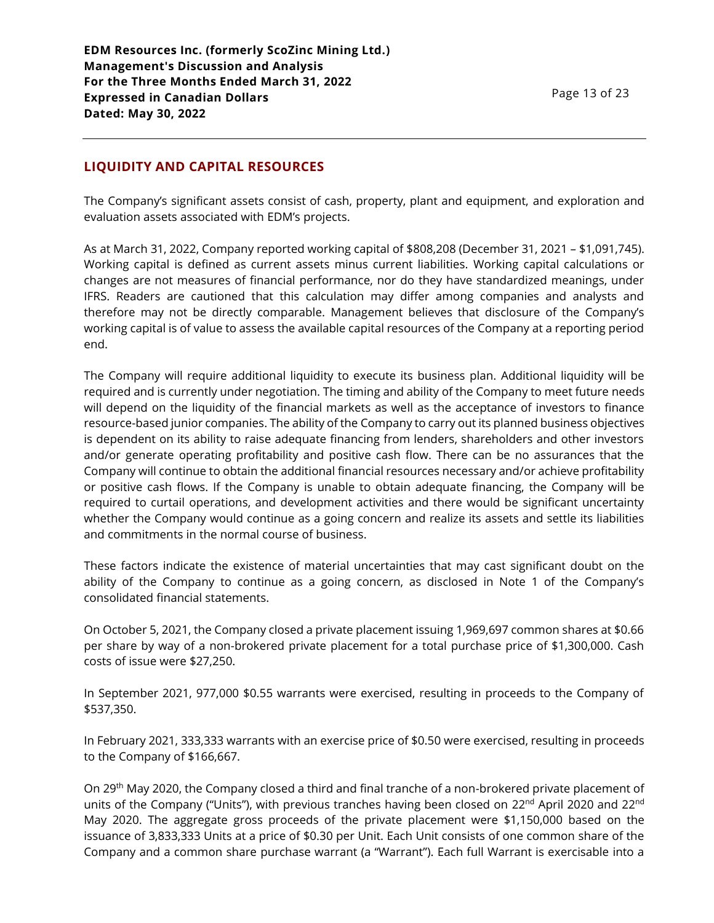# **LIQUIDITY AND CAPITAL RESOURCES**

The Company's significant assets consist of cash, property, plant and equipment, and exploration and evaluation assets associated with EDM's projects.

As at March 31, 2022, Company reported working capital of \$808,208 (December 31, 2021 – \$1,091,745). Working capital is defined as current assets minus current liabilities. Working capital calculations or changes are not measures of financial performance, nor do they have standardized meanings, under IFRS. Readers are cautioned that this calculation may differ among companies and analysts and therefore may not be directly comparable. Management believes that disclosure of the Company's working capital is of value to assess the available capital resources of the Company at a reporting period end.

The Company will require additional liquidity to execute its business plan. Additional liquidity will be required and is currently under negotiation. The timing and ability of the Company to meet future needs will depend on the liquidity of the financial markets as well as the acceptance of investors to finance resource-based junior companies. The ability of the Company to carry out its planned business objectives is dependent on its ability to raise adequate financing from lenders, shareholders and other investors and/or generate operating profitability and positive cash flow. There can be no assurances that the Company will continue to obtain the additional financial resources necessary and/or achieve profitability or positive cash flows. If the Company is unable to obtain adequate financing, the Company will be required to curtail operations, and development activities and there would be significant uncertainty whether the Company would continue as a going concern and realize its assets and settle its liabilities and commitments in the normal course of business.

These factors indicate the existence of material uncertainties that may cast significant doubt on the ability of the Company to continue as a going concern, as disclosed in Note 1 of the Company's consolidated financial statements.

On October 5, 2021, the Company closed a private placement issuing 1,969,697 common shares at \$0.66 per share by way of a non-brokered private placement for a total purchase price of \$1,300,000. Cash costs of issue were \$27,250.

In September 2021, 977,000 \$0.55 warrants were exercised, resulting in proceeds to the Company of \$537,350.

In February 2021, 333,333 warrants with an exercise price of \$0.50 were exercised, resulting in proceeds to the Company of \$166,667.

On 29th May 2020, the Company closed a third and final tranche of a non-brokered private placement of units of the Company ("Units"), with previous tranches having been closed on 22<sup>nd</sup> April 2020 and 22<sup>nd</sup> May 2020. The aggregate gross proceeds of the private placement were \$1,150,000 based on the issuance of 3,833,333 Units at a price of \$0.30 per Unit. Each Unit consists of one common share of the Company and a common share purchase warrant (a "Warrant"). Each full Warrant is exercisable into a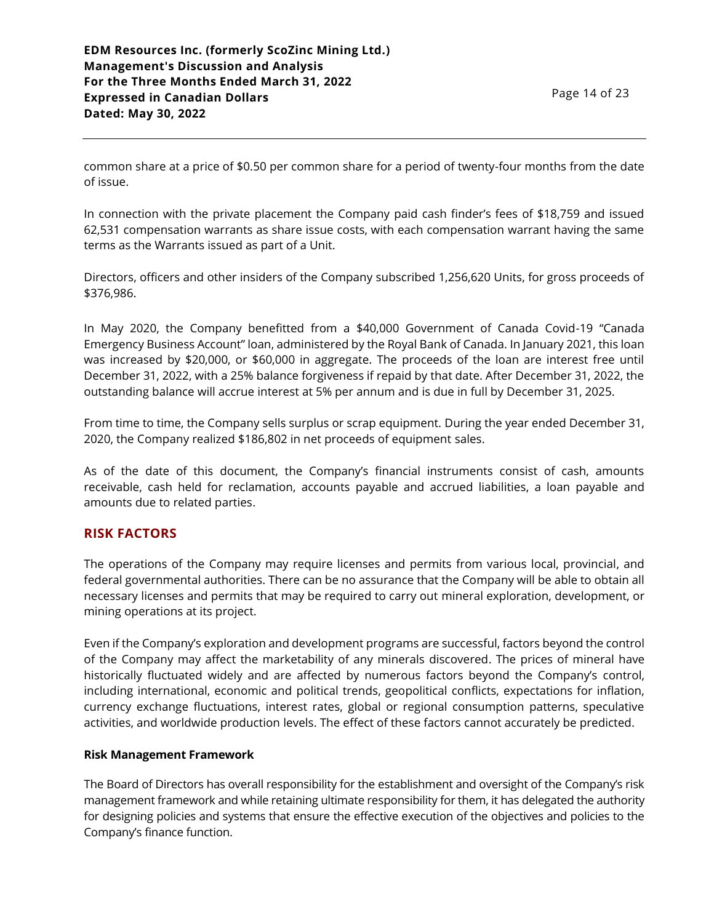common share at a price of \$0.50 per common share for a period of twenty-four months from the date of issue.

In connection with the private placement the Company paid cash finder's fees of \$18,759 and issued 62,531 compensation warrants as share issue costs, with each compensation warrant having the same terms as the Warrants issued as part of a Unit.

Directors, officers and other insiders of the Company subscribed 1,256,620 Units, for gross proceeds of \$376,986.

In May 2020, the Company benefitted from a \$40,000 Government of Canada Covid-19 "Canada Emergency Business Account" loan, administered by the Royal Bank of Canada. In January 2021, this loan was increased by \$20,000, or \$60,000 in aggregate. The proceeds of the loan are interest free until December 31, 2022, with a 25% balance forgiveness if repaid by that date. After December 31, 2022, the outstanding balance will accrue interest at 5% per annum and is due in full by December 31, 2025.

From time to time, the Company sells surplus or scrap equipment. During the year ended December 31, 2020, the Company realized \$186,802 in net proceeds of equipment sales.

As of the date of this document, the Company's financial instruments consist of cash, amounts receivable, cash held for reclamation, accounts payable and accrued liabilities, a loan payable and amounts due to related parties.

## **RISK FACTORS**

The operations of the Company may require licenses and permits from various local, provincial, and federal governmental authorities. There can be no assurance that the Company will be able to obtain all necessary licenses and permits that may be required to carry out mineral exploration, development, or mining operations at its project.

Even if the Company's exploration and development programs are successful, factors beyond the control of the Company may affect the marketability of any minerals discovered. The prices of mineral have historically fluctuated widely and are affected by numerous factors beyond the Company's control, including international, economic and political trends, geopolitical conflicts, expectations for inflation, currency exchange fluctuations, interest rates, global or regional consumption patterns, speculative activities, and worldwide production levels. The effect of these factors cannot accurately be predicted.

### **Risk Management Framework**

The Board of Directors has overall responsibility for the establishment and oversight of the Company's risk management framework and while retaining ultimate responsibility for them, it has delegated the authority for designing policies and systems that ensure the effective execution of the objectives and policies to the Company's finance function.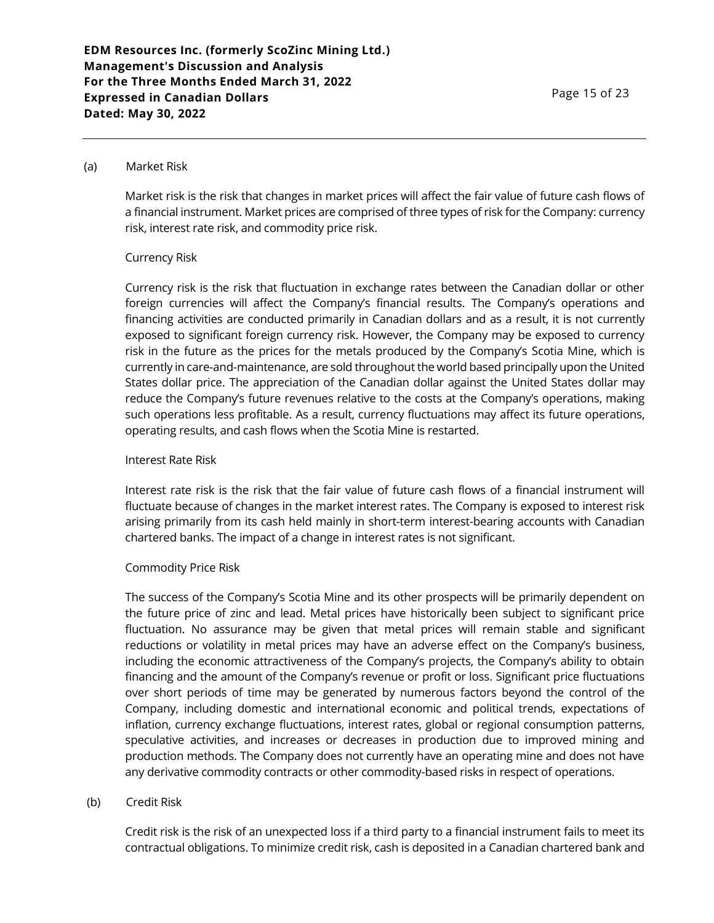#### (a) Market Risk

Market risk is the risk that changes in market prices will affect the fair value of future cash flows of a financial instrument. Market prices are comprised of three types of risk for the Company: currency risk, interest rate risk, and commodity price risk.

#### Currency Risk

Currency risk is the risk that fluctuation in exchange rates between the Canadian dollar or other foreign currencies will affect the Company's financial results. The Company's operations and financing activities are conducted primarily in Canadian dollars and as a result, it is not currently exposed to significant foreign currency risk. However, the Company may be exposed to currency risk in the future as the prices for the metals produced by the Company's Scotia Mine, which is currently in care-and-maintenance, are sold throughout the world based principally upon the United States dollar price. The appreciation of the Canadian dollar against the United States dollar may reduce the Company's future revenues relative to the costs at the Company's operations, making such operations less profitable. As a result, currency fluctuations may affect its future operations, operating results, and cash flows when the Scotia Mine is restarted.

#### Interest Rate Risk

Interest rate risk is the risk that the fair value of future cash flows of a financial instrument will fluctuate because of changes in the market interest rates. The Company is exposed to interest risk arising primarily from its cash held mainly in short-term interest-bearing accounts with Canadian chartered banks. The impact of a change in interest rates is not significant.

#### Commodity Price Risk

The success of the Company's Scotia Mine and its other prospects will be primarily dependent on the future price of zinc and lead. Metal prices have historically been subject to significant price fluctuation. No assurance may be given that metal prices will remain stable and significant reductions or volatility in metal prices may have an adverse effect on the Company's business, including the economic attractiveness of the Company's projects, the Company's ability to obtain financing and the amount of the Company's revenue or profit or loss. Significant price fluctuations over short periods of time may be generated by numerous factors beyond the control of the Company, including domestic and international economic and political trends, expectations of inflation, currency exchange fluctuations, interest rates, global or regional consumption patterns, speculative activities, and increases or decreases in production due to improved mining and production methods. The Company does not currently have an operating mine and does not have any derivative commodity contracts or other commodity-based risks in respect of operations.

#### (b) Credit Risk

Credit risk is the risk of an unexpected loss if a third party to a financial instrument fails to meet its contractual obligations. To minimize credit risk, cash is deposited in a Canadian chartered bank and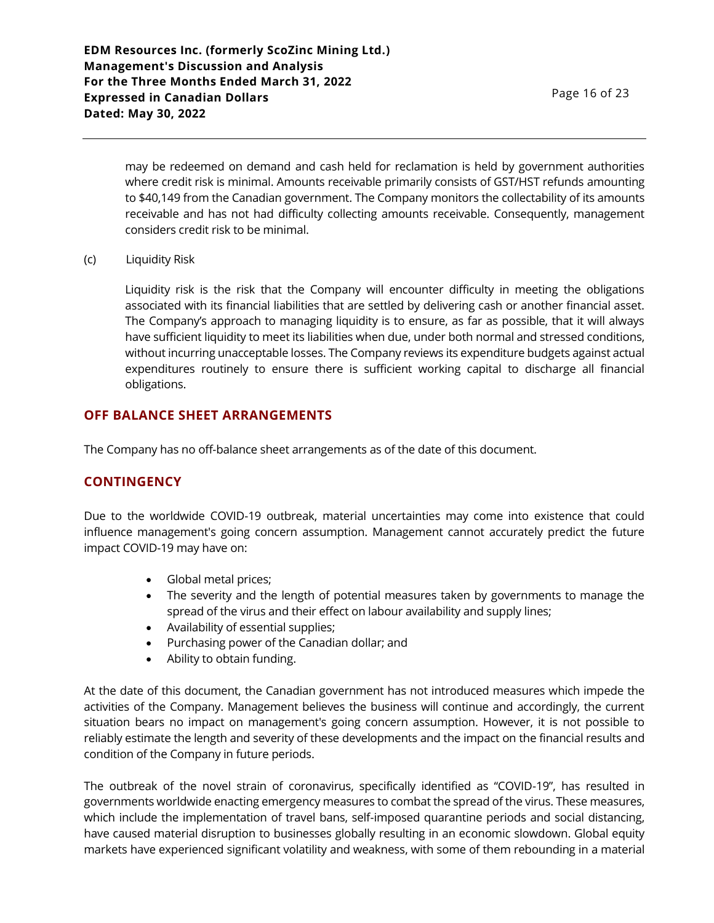may be redeemed on demand and cash held for reclamation is held by government authorities where credit risk is minimal. Amounts receivable primarily consists of GST/HST refunds amounting to \$40,149 from the Canadian government. The Company monitors the collectability of its amounts receivable and has not had difficulty collecting amounts receivable. Consequently, management considers credit risk to be minimal.

(c) Liquidity Risk

Liquidity risk is the risk that the Company will encounter difficulty in meeting the obligations associated with its financial liabilities that are settled by delivering cash or another financial asset. The Company's approach to managing liquidity is to ensure, as far as possible, that it will always have sufficient liquidity to meet its liabilities when due, under both normal and stressed conditions, without incurring unacceptable losses. The Company reviews its expenditure budgets against actual expenditures routinely to ensure there is sufficient working capital to discharge all financial obligations.

## **OFF BALANCE SHEET ARRANGEMENTS**

The Company has no off-balance sheet arrangements as of the date of this document.

### **CONTINGENCY**

Due to the worldwide COVID-19 outbreak, material uncertainties may come into existence that could influence management's going concern assumption. Management cannot accurately predict the future impact COVID-19 may have on:

- Global metal prices;
- The severity and the length of potential measures taken by governments to manage the spread of the virus and their effect on labour availability and supply lines;
- Availability of essential supplies;
- Purchasing power of the Canadian dollar; and
- Ability to obtain funding.

At the date of this document, the Canadian government has not introduced measures which impede the activities of the Company. Management believes the business will continue and accordingly, the current situation bears no impact on management's going concern assumption. However, it is not possible to reliably estimate the length and severity of these developments and the impact on the financial results and condition of the Company in future periods.

The outbreak of the novel strain of coronavirus, specifically identified as "COVID-19", has resulted in governments worldwide enacting emergency measures to combat the spread of the virus. These measures, which include the implementation of travel bans, self-imposed quarantine periods and social distancing, have caused material disruption to businesses globally resulting in an economic slowdown. Global equity markets have experienced significant volatility and weakness, with some of them rebounding in a material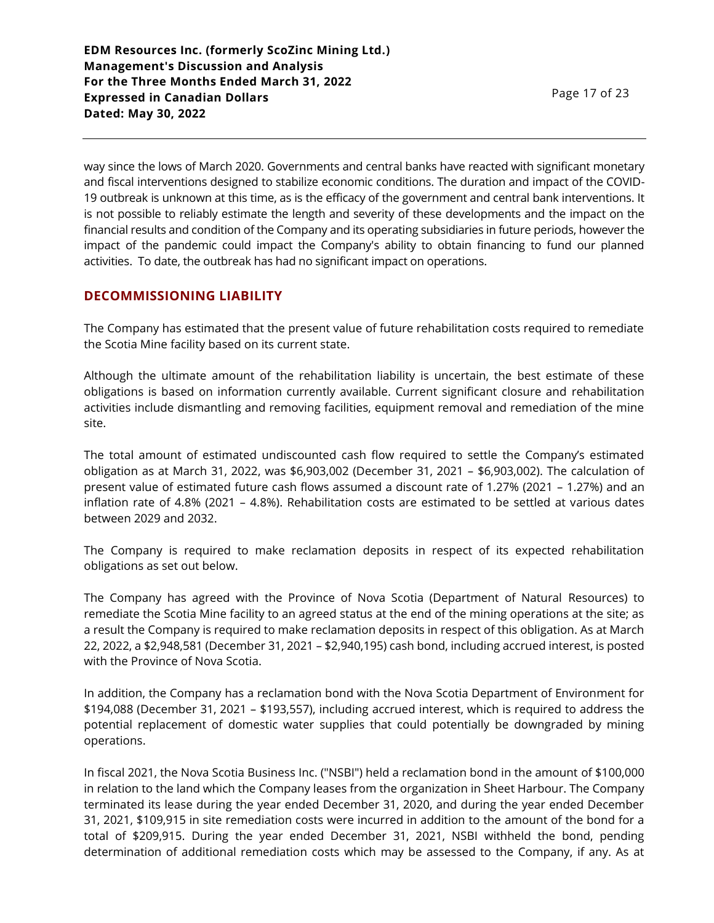way since the lows of March 2020. Governments and central banks have reacted with significant monetary and fiscal interventions designed to stabilize economic conditions. The duration and impact of the COVID-19 outbreak is unknown at this time, as is the efficacy of the government and central bank interventions. It is not possible to reliably estimate the length and severity of these developments and the impact on the financial results and condition of the Company and its operating subsidiaries in future periods, however the impact of the pandemic could impact the Company's ability to obtain financing to fund our planned activities. To date, the outbreak has had no significant impact on operations.

## **DECOMMISSIONING LIABILITY**

The Company has estimated that the present value of future rehabilitation costs required to remediate the Scotia Mine facility based on its current state.

Although the ultimate amount of the rehabilitation liability is uncertain, the best estimate of these obligations is based on information currently available. Current significant closure and rehabilitation activities include dismantling and removing facilities, equipment removal and remediation of the mine site.

The total amount of estimated undiscounted cash flow required to settle the Company's estimated obligation as at March 31, 2022, was \$6,903,002 (December 31, 2021 – \$6,903,002). The calculation of present value of estimated future cash flows assumed a discount rate of 1.27% (2021 – 1.27%) and an inflation rate of 4.8% (2021 – 4.8%). Rehabilitation costs are estimated to be settled at various dates between 2029 and 2032.

The Company is required to make reclamation deposits in respect of its expected rehabilitation obligations as set out below.

The Company has agreed with the Province of Nova Scotia (Department of Natural Resources) to remediate the Scotia Mine facility to an agreed status at the end of the mining operations at the site; as a result the Company is required to make reclamation deposits in respect of this obligation. As at March 22, 2022, a \$2,948,581 (December 31, 2021 – \$2,940,195) cash bond, including accrued interest, is posted with the Province of Nova Scotia.

In addition, the Company has a reclamation bond with the Nova Scotia Department of Environment for \$194,088 (December 31, 2021 – \$193,557), including accrued interest, which is required to address the potential replacement of domestic water supplies that could potentially be downgraded by mining operations.

In fiscal 2021, the Nova Scotia Business Inc. ("NSBI") held a reclamation bond in the amount of \$100,000 in relation to the land which the Company leases from the organization in Sheet Harbour. The Company terminated its lease during the year ended December 31, 2020, and during the year ended December 31, 2021, \$109,915 in site remediation costs were incurred in addition to the amount of the bond for a total of \$209,915. During the year ended December 31, 2021, NSBI withheld the bond, pending determination of additional remediation costs which may be assessed to the Company, if any. As at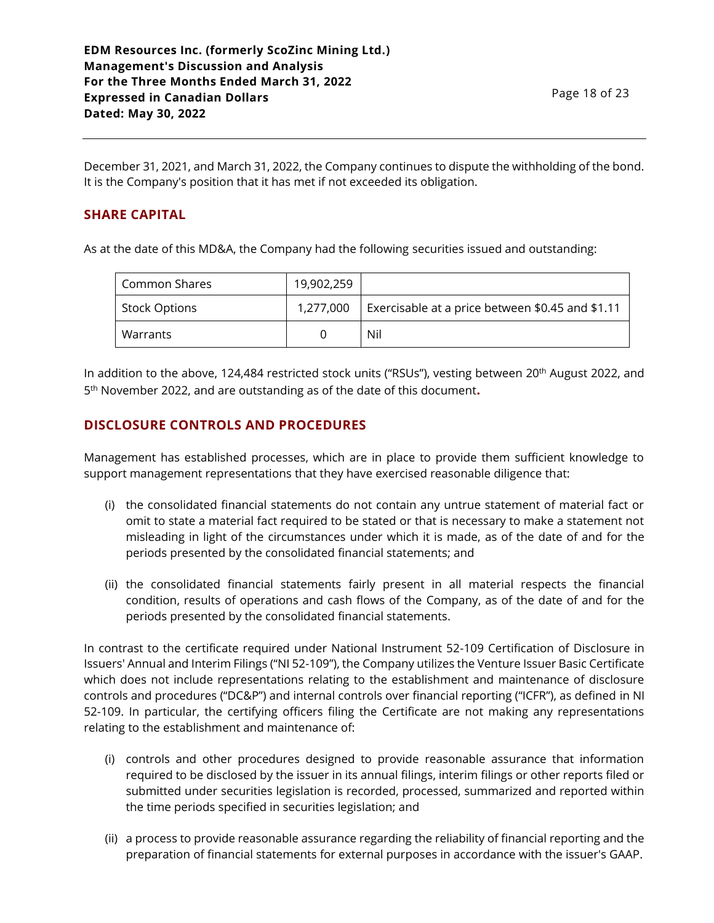December 31, 2021, and March 31, 2022, the Company continues to dispute the withholding of the bond. It is the Company's position that it has met if not exceeded its obligation.

# **SHARE CAPITAL**

As at the date of this MD&A, the Company had the following securities issued and outstanding:

| Common Shares        | 19,902,259 |                                                  |
|----------------------|------------|--------------------------------------------------|
| <b>Stock Options</b> | 1,277,000  | Exercisable at a price between \$0.45 and \$1.11 |
| Warrants             |            | Nil                                              |

In addition to the above, 124,484 restricted stock units ("RSUs"), vesting between 20<sup>th</sup> August 2022, and 5 th November 2022, and are outstanding as of the date of this document**.**

# **DISCLOSURE CONTROLS AND PROCEDURES**

Management has established processes, which are in place to provide them sufficient knowledge to support management representations that they have exercised reasonable diligence that:

- (i) the consolidated financial statements do not contain any untrue statement of material fact or omit to state a material fact required to be stated or that is necessary to make a statement not misleading in light of the circumstances under which it is made, as of the date of and for the periods presented by the consolidated financial statements; and
- (ii) the consolidated financial statements fairly present in all material respects the financial condition, results of operations and cash flows of the Company, as of the date of and for the periods presented by the consolidated financial statements.

In contrast to the certificate required under National Instrument 52-109 Certification of Disclosure in Issuers' Annual and Interim Filings ("NI 52-109"), the Company utilizes the Venture Issuer Basic Certificate which does not include representations relating to the establishment and maintenance of disclosure controls and procedures ("DC&P") and internal controls over financial reporting ("ICFR"), as defined in NI 52-109. In particular, the certifying officers filing the Certificate are not making any representations relating to the establishment and maintenance of:

- (i) controls and other procedures designed to provide reasonable assurance that information required to be disclosed by the issuer in its annual filings, interim filings or other reports filed or submitted under securities legislation is recorded, processed, summarized and reported within the time periods specified in securities legislation; and
- (ii) a process to provide reasonable assurance regarding the reliability of financial reporting and the preparation of financial statements for external purposes in accordance with the issuer's GAAP.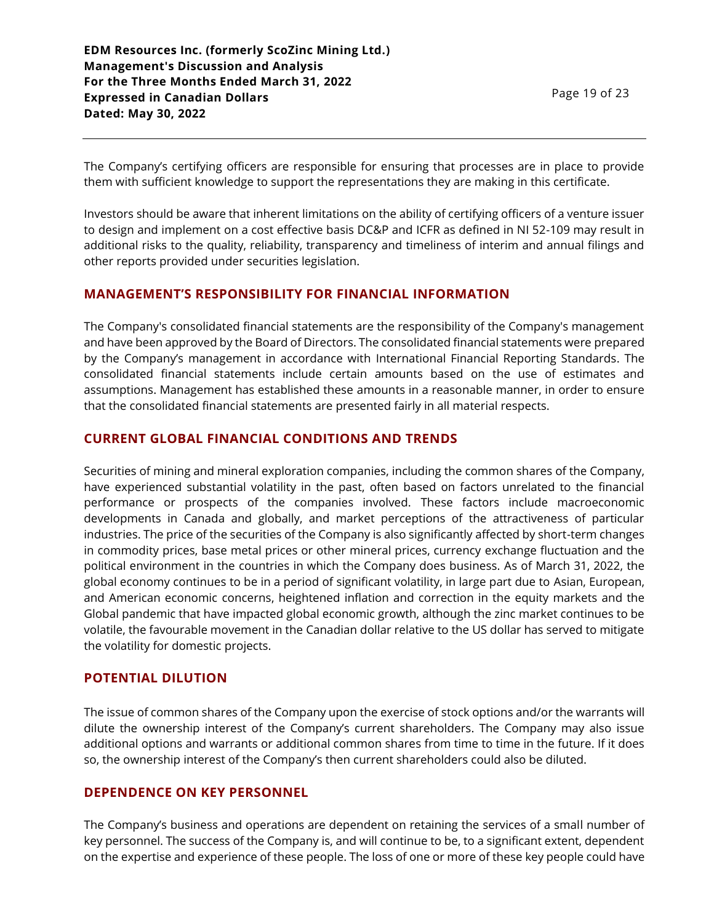The Company's certifying officers are responsible for ensuring that processes are in place to provide them with sufficient knowledge to support the representations they are making in this certificate.

Investors should be aware that inherent limitations on the ability of certifying officers of a venture issuer to design and implement on a cost effective basis DC&P and ICFR as defined in NI 52-109 may result in additional risks to the quality, reliability, transparency and timeliness of interim and annual filings and other reports provided under securities legislation.

## **MANAGEMENT'S RESPONSIBILITY FOR FINANCIAL INFORMATION**

The Company's consolidated financial statements are the responsibility of the Company's management and have been approved by the Board of Directors. The consolidated financial statements were prepared by the Company's management in accordance with International Financial Reporting Standards. The consolidated financial statements include certain amounts based on the use of estimates and assumptions. Management has established these amounts in a reasonable manner, in order to ensure that the consolidated financial statements are presented fairly in all material respects.

## **CURRENT GLOBAL FINANCIAL CONDITIONS AND TRENDS**

Securities of mining and mineral exploration companies, including the common shares of the Company, have experienced substantial volatility in the past, often based on factors unrelated to the financial performance or prospects of the companies involved. These factors include macroeconomic developments in Canada and globally, and market perceptions of the attractiveness of particular industries. The price of the securities of the Company is also significantly affected by short-term changes in commodity prices, base metal prices or other mineral prices, currency exchange fluctuation and the political environment in the countries in which the Company does business. As of March 31, 2022, the global economy continues to be in a period of significant volatility, in large part due to Asian, European, and American economic concerns, heightened inflation and correction in the equity markets and the Global pandemic that have impacted global economic growth, although the zinc market continues to be volatile, the favourable movement in the Canadian dollar relative to the US dollar has served to mitigate the volatility for domestic projects.

### **POTENTIAL DILUTION**

The issue of common shares of the Company upon the exercise of stock options and/or the warrants will dilute the ownership interest of the Company's current shareholders. The Company may also issue additional options and warrants or additional common shares from time to time in the future. If it does so, the ownership interest of the Company's then current shareholders could also be diluted.

# **DEPENDENCE ON KEY PERSONNEL**

The Company's business and operations are dependent on retaining the services of a small number of key personnel. The success of the Company is, and will continue to be, to a significant extent, dependent on the expertise and experience of these people. The loss of one or more of these key people could have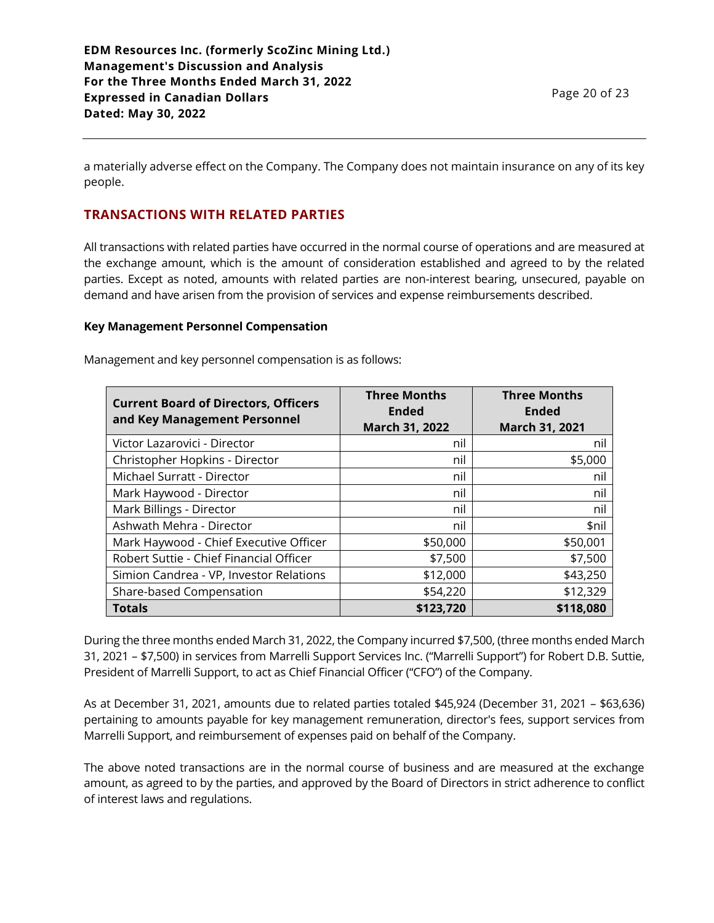a materially adverse effect on the Company. The Company does not maintain insurance on any of its key people.

# **TRANSACTIONS WITH RELATED PARTIES**

All transactions with related parties have occurred in the normal course of operations and are measured at the exchange amount, which is the amount of consideration established and agreed to by the related parties. Except as noted, amounts with related parties are non-interest bearing, unsecured, payable on demand and have arisen from the provision of services and expense reimbursements described.

#### **Key Management Personnel Compensation**

| <b>Current Board of Directors, Officers</b><br>and Key Management Personnel | <b>Three Months</b><br><b>Ended</b><br><b>March 31, 2022</b> | <b>Three Months</b><br><b>Ended</b><br>March 31, 2021 |
|-----------------------------------------------------------------------------|--------------------------------------------------------------|-------------------------------------------------------|
| Victor Lazarovici - Director                                                | nil                                                          | nil                                                   |
| Christopher Hopkins - Director                                              | nil                                                          | \$5,000                                               |
| Michael Surratt - Director                                                  | nil                                                          | nil                                                   |
| Mark Haywood - Director                                                     | nil                                                          | nil                                                   |
| Mark Billings - Director                                                    | nil                                                          | nil                                                   |
| Ashwath Mehra - Director                                                    | nil                                                          | \$nil                                                 |
| Mark Haywood - Chief Executive Officer                                      | \$50,000                                                     | \$50,001                                              |
| Robert Suttie - Chief Financial Officer                                     | \$7,500                                                      | \$7,500                                               |
| Simion Candrea - VP, Investor Relations                                     | \$12,000                                                     | \$43,250                                              |
| Share-based Compensation                                                    | \$54,220                                                     | \$12,329                                              |
| <b>Totals</b>                                                               | \$123,720                                                    | \$118,080                                             |

Management and key personnel compensation is as follows:

During the three months ended March 31, 2022, the Company incurred \$7,500, (three months ended March 31, 2021 – \$7,500) in services from Marrelli Support Services Inc. ("Marrelli Support") for Robert D.B. Suttie, President of Marrelli Support, to act as Chief Financial Officer ("CFO") of the Company.

As at December 31, 2021, amounts due to related parties totaled \$45,924 (December 31, 2021 – \$63,636) pertaining to amounts payable for key management remuneration, director's fees, support services from Marrelli Support, and reimbursement of expenses paid on behalf of the Company.

The above noted transactions are in the normal course of business and are measured at the exchange amount, as agreed to by the parties, and approved by the Board of Directors in strict adherence to conflict of interest laws and regulations.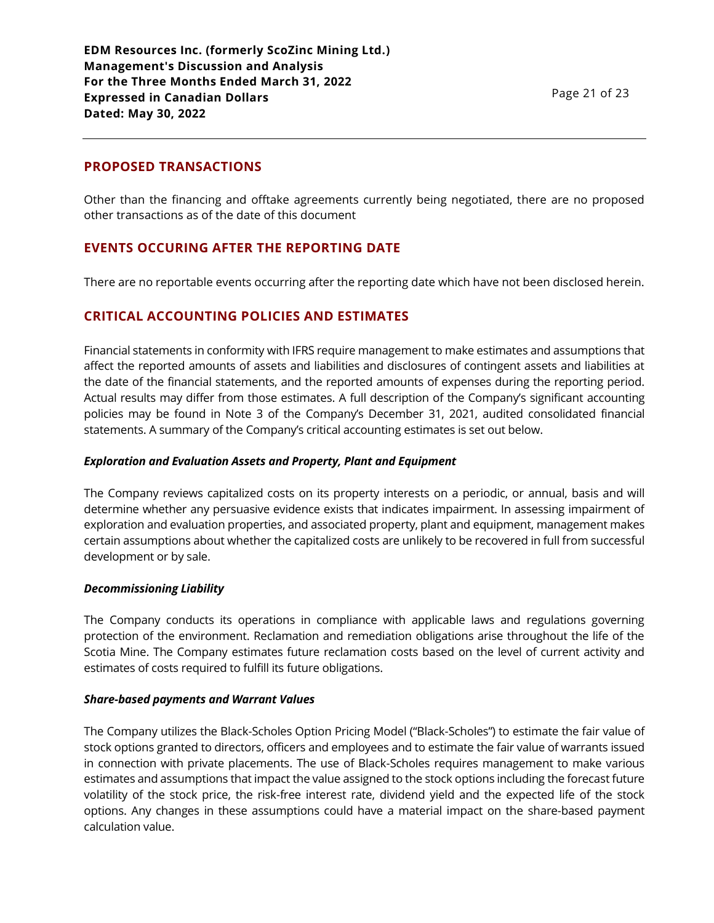## **PROPOSED TRANSACTIONS**

Other than the financing and offtake agreements currently being negotiated, there are no proposed other transactions as of the date of this document

## **EVENTS OCCURING AFTER THE REPORTING DATE**

There are no reportable events occurring after the reporting date which have not been disclosed herein.

## **CRITICAL ACCOUNTING POLICIES AND ESTIMATES**

Financial statements in conformity with IFRS require management to make estimates and assumptions that affect the reported amounts of assets and liabilities and disclosures of contingent assets and liabilities at the date of the financial statements, and the reported amounts of expenses during the reporting period. Actual results may differ from those estimates. A full description of the Company's significant accounting policies may be found in Note 3 of the Company's December 31, 2021, audited consolidated financial statements. A summary of the Company's critical accounting estimates is set out below.

#### *Exploration and Evaluation Assets and Property, Plant and Equipment*

The Company reviews capitalized costs on its property interests on a periodic, or annual, basis and will determine whether any persuasive evidence exists that indicates impairment. In assessing impairment of exploration and evaluation properties, and associated property, plant and equipment, management makes certain assumptions about whether the capitalized costs are unlikely to be recovered in full from successful development or by sale.

#### *Decommissioning Liability*

The Company conducts its operations in compliance with applicable laws and regulations governing protection of the environment. Reclamation and remediation obligations arise throughout the life of the Scotia Mine. The Company estimates future reclamation costs based on the level of current activity and estimates of costs required to fulfill its future obligations.

#### *Share-based payments and Warrant Values*

The Company utilizes the Black-Scholes Option Pricing Model ("Black-Scholes") to estimate the fair value of stock options granted to directors, officers and employees and to estimate the fair value of warrants issued in connection with private placements. The use of Black-Scholes requires management to make various estimates and assumptions that impact the value assigned to the stock options including the forecast future volatility of the stock price, the risk-free interest rate, dividend yield and the expected life of the stock options. Any changes in these assumptions could have a material impact on the share-based payment calculation value.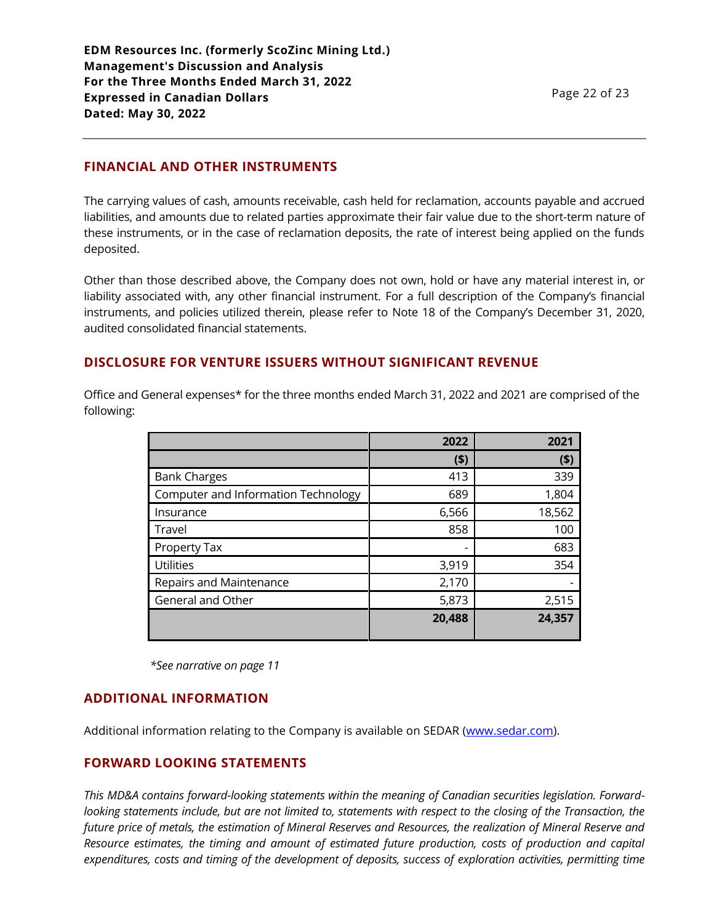## **FINANCIAL AND OTHER INSTRUMENTS**

The carrying values of cash, amounts receivable, cash held for reclamation, accounts payable and accrued liabilities, and amounts due to related parties approximate their fair value due to the short-term nature of these instruments, or in the case of reclamation deposits, the rate of interest being applied on the funds deposited.

Other than those described above, the Company does not own, hold or have any material interest in, or liability associated with, any other financial instrument. For a full description of the Company's financial instruments, and policies utilized therein, please refer to Note 18 of the Company's December 31, 2020, audited consolidated financial statements.

## **DISCLOSURE FOR VENTURE ISSUERS WITHOUT SIGNIFICANT REVENUE**

Office and General expenses\* for the three months ended March 31, 2022 and 2021 are comprised of the following:

|                                     | 2022   | 2021   |
|-------------------------------------|--------|--------|
|                                     | (5)    | (5)    |
| <b>Bank Charges</b>                 | 413    | 339    |
| Computer and Information Technology | 689    | 1,804  |
| Insurance                           | 6,566  | 18,562 |
| Travel                              | 858    | 100    |
| Property Tax                        | -      | 683    |
| <b>Utilities</b>                    | 3,919  | 354    |
| Repairs and Maintenance             | 2,170  |        |
| General and Other                   | 5,873  | 2,515  |
|                                     | 20,488 | 24,357 |

*\*See narrative on page 11*

### **ADDITIONAL INFORMATION**

Additional information relating to the Company is available on SEDAR [\(www.sedar.com\)](http://www.sedar.com/).

## **FORWARD LOOKING STATEMENTS**

*This MD&A contains forward-looking statements within the meaning of Canadian securities legislation. Forwardlooking statements include, but are not limited to, statements with respect to the closing of the Transaction, the future price of metals, the estimation of Mineral Reserves and Resources, the realization of Mineral Reserve and Resource estimates, the timing and amount of estimated future production, costs of production and capital expenditures, costs and timing of the development of deposits, success of exploration activities, permitting time*